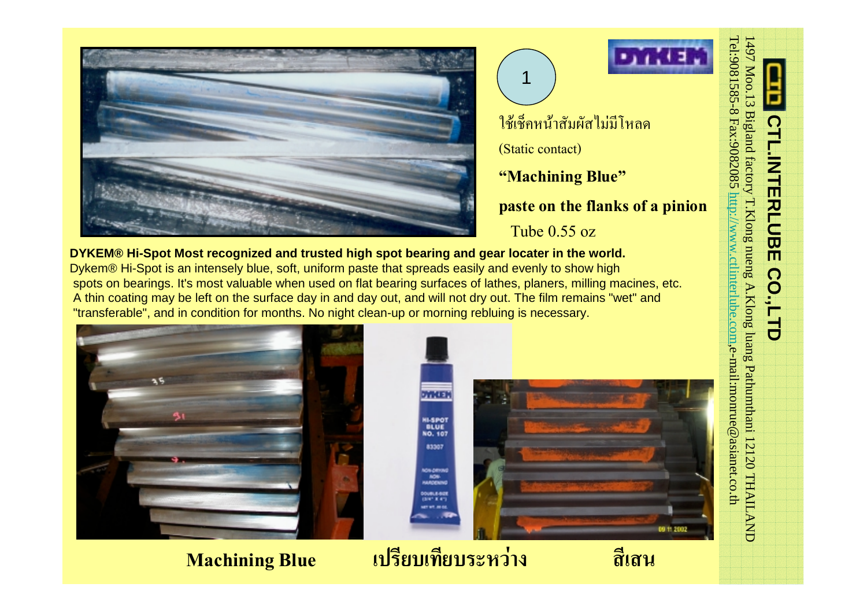



# ใชเช็คหนาสัมผัสไมมีโหลด

(Static contact)

1

# **"Machining Blue"**

## **paste on the flanks of a pinion**

Tube 0.55 oz

**DYKEM® Hi-Spot Most recognized and trusted high spot bearing and gear locater in the world.**  Dykem® Hi-Spot is an intensely blue, soft, uniform paste that spreads easily and evenly to show high spots on bearings. It's most valuable when used on flat bearing surfaces of lathes, planers, milling macines, etc. A thin coating may be left on the surface day in and day out, and will not dry out. The film remains "wet" and "transferable", and in condition for months. No night clean-up or morning rebluing is necessary.



# 57,737 **HI-SPOT**<br>BLUE<br>NO. 107 09 11 20

# **Machining Blue เปรียบเทียบระหวาง สีเสน**

83307

NON-DRIVING<br>NON-<br>HARDENING 00418-009

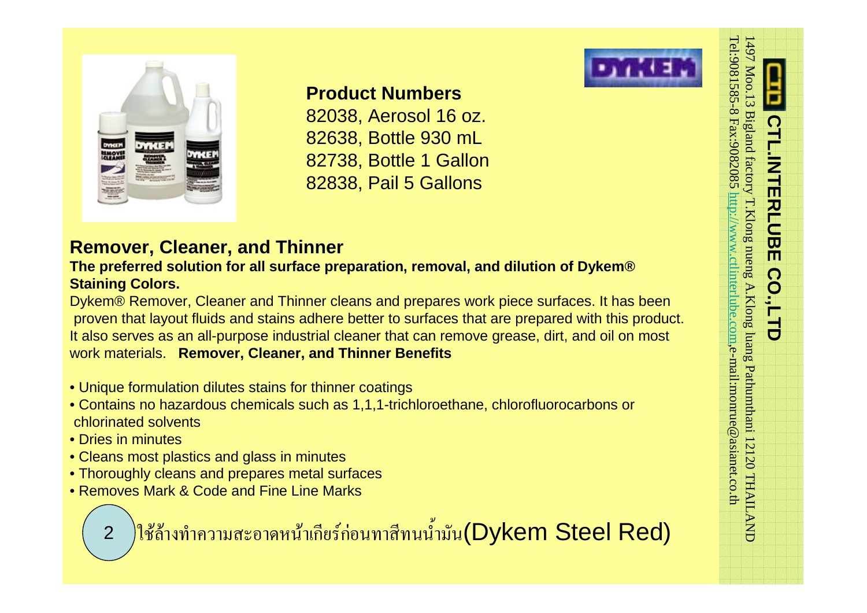

# **Product Numbers**

82038, Aerosol 16 oz. 82638, Bottle 930 mL 82738, Bottle 1 Gallon 82838, Pail 5 Gallons

and the preferred solution for all surface preparation, removal, and dilution of Dykem®<br>
Proven that layout fluids and stains adhere better to surfaces that are prepared with this product.<br>
It also serves as an all-purpose work materials. **Remover, Cleaner, and Thinner Benefits**

- Unique formulation dilutes stains for thinner coatings
- Contains no hazardous chemicals such as 1,1,1-trichloroethane, chlorofluorocarbons or chlorinated solvents
- Dries in minutes
- Cleans most plastics and glass in minutes
- Thoroughly cleans and prepares metal surfaces
- Removes Mark & Code and Fine Line Marks

ใช้ถ้างทำความสะอาดหน้าเกียร์ก่อนทาสีทนน้ำมัน(Dykem Steel Red)